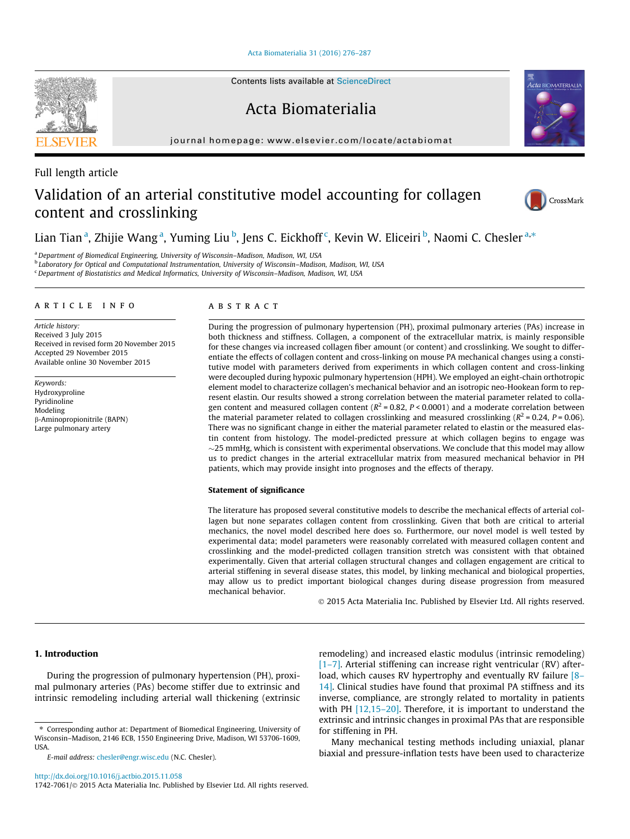[Acta Biomaterialia 31 \(2016\) 276–287](http://dx.doi.org/10.1016/j.actbio.2015.11.058)

Acta Biomaterialia

journal homepage: [www.elsevier.com/locate/actabiomat](http://www.elsevier.com/locate/actabiomat)

# Full length article

# Validation of an arterial constitutive model accounting for collagen content and crosslinking

Lian Tian <sup>a</sup>, Zhijie Wang <sup>a</sup>, Yuming Liu <sup>b</sup>, Jens C. Eickhoff <sup>c</sup>, Kevin W. Eliceiri <sup>b</sup>, Naomi C. Chesler <sup>a,\*</sup>

<sup>a</sup> Department of Biomedical Engineering, University of Wisconsin–Madison, Madison, WI, USA

<sup>b</sup> Laboratory for Optical and Computational Instrumentation, University of Wisconsin–Madison, Madison, WI, USA

<sup>c</sup> Department of Biostatistics and Medical Informatics, University of Wisconsin-Madison, Madison, WI, USA

# article info

Article history: Received 3 July 2015 Received in revised form 20 November 2015 Accepted 29 November 2015 Available online 30 November 2015

Keywords: Hydroxyproline Pyridinoline Modeling b-Aminopropionitrile (BAPN) Large pulmonary artery

#### **ABSTRACT**

During the progression of pulmonary hypertension (PH), proximal pulmonary arteries (PAs) increase in both thickness and stiffness. Collagen, a component of the extracellular matrix, is mainly responsible for these changes via increased collagen fiber amount (or content) and crosslinking. We sought to differentiate the effects of collagen content and cross-linking on mouse PA mechanical changes using a constitutive model with parameters derived from experiments in which collagen content and cross-linking were decoupled during hypoxic pulmonary hypertension (HPH). We employed an eight-chain orthotropic element model to characterize collagen's mechanical behavior and an isotropic neo-Hookean form to represent elastin. Our results showed a strong correlation between the material parameter related to collagen content and measured collagen content ( $R^2$  = 0.82,  $P$  < 0.0001) and a moderate correlation between the material parameter related to collagen crosslinking and measured crosslinking ( $R^2$  = 0.24,  $P$  = 0.06). There was no significant change in either the material parameter related to elastin or the measured elastin content from histology. The model-predicted pressure at which collagen begins to engage was  $\sim$ 25 mmHg, which is consistent with experimental observations. We conclude that this model may allow us to predict changes in the arterial extracellular matrix from measured mechanical behavior in PH patients, which may provide insight into prognoses and the effects of therapy.

#### Statement of significance

The literature has proposed several constitutive models to describe the mechanical effects of arterial collagen but none separates collagen content from crosslinking. Given that both are critical to arterial mechanics, the novel model described here does so. Furthermore, our novel model is well tested by experimental data; model parameters were reasonably correlated with measured collagen content and crosslinking and the model-predicted collagen transition stretch was consistent with that obtained experimentally. Given that arterial collagen structural changes and collagen engagement are critical to arterial stiffening in several disease states, this model, by linking mechanical and biological properties, may allow us to predict important biological changes during disease progression from measured mechanical behavior.

2015 Acta Materialia Inc. Published by Elsevier Ltd. All rights reserved.

# 1. Introduction

During the progression of pulmonary hypertension (PH), proximal pulmonary arteries (PAs) become stiffer due to extrinsic and intrinsic remodeling including arterial wall thickening (extrinsic remodeling) and increased elastic modulus (intrinsic remodeling) [\[1–7\].](#page-9-0) Arterial stiffening can increase right ventricular (RV) after-load, which causes RV hypertrophy and eventually RV failure [\[8–](#page-10-0) [14\]](#page-10-0). Clinical studies have found that proximal PA stiffness and its inverse, compliance, are strongly related to mortality in patients with PH [12,15-20]. Therefore, it is important to understand the extrinsic and intrinsic changes in proximal PAs that are responsible for stiffening in PH.

Many mechanical testing methods including uniaxial, planar biaxial and pressure-inflation tests have been used to characterize







<sup>⇑</sup> Corresponding author at: Department of Biomedical Engineering, University of Wisconsin–Madison, 2146 ECB, 1550 Engineering Drive, Madison, WI 53706-1609, USA.

E-mail address: [chesler@engr.wisc.edu](mailto:chesler@engr.wisc.edu) (N.C. Chesler).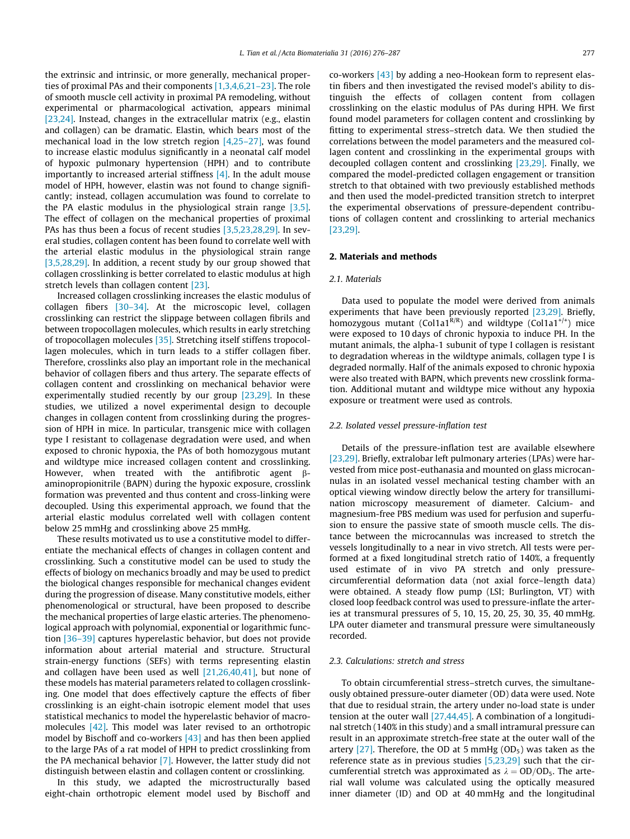the extrinsic and intrinsic, or more generally, mechanical properties of proximal PAs and their components [\[1,3,4,6,21–23\]](#page-9-0). The role of smooth muscle cell activity in proximal PA remodeling, without experimental or pharmacological activation, appears minimal [\[23,24\]](#page-10-0). Instead, changes in the extracellular matrix (e.g., elastin and collagen) can be dramatic. Elastin, which bears most of the mechanical load in the low stretch region [\[4,25–27\]](#page-9-0), was found to increase elastic modulus significantly in a neonatal calf model of hypoxic pulmonary hypertension (HPH) and to contribute importantly to increased arterial stiffness [\[4\]](#page-9-0). In the adult mouse model of HPH, however, elastin was not found to change significantly; instead, collagen accumulation was found to correlate to the PA elastic modulus in the physiological strain range [\[3,5\].](#page-9-0) The effect of collagen on the mechanical properties of proximal PAs has thus been a focus of recent studies [\[3,5,23,28,29\].](#page-9-0) In several studies, collagen content has been found to correlate well with the arterial elastic modulus in the physiological strain range [\[3,5,28,29\].](#page-9-0) In addition, a recent study by our group showed that collagen crosslinking is better correlated to elastic modulus at high stretch levels than collagen content [\[23\]](#page-10-0).

Increased collagen crosslinking increases the elastic modulus of collagen fibers [\[30–34\].](#page-10-0) At the microscopic level, collagen crosslinking can restrict the slippage between collagen fibrils and between tropocollagen molecules, which results in early stretching of tropocollagen molecules [\[35\]](#page-10-0). Stretching itself stiffens tropocollagen molecules, which in turn leads to a stiffer collagen fiber. Therefore, crosslinks also play an important role in the mechanical behavior of collagen fibers and thus artery. The separate effects of collagen content and crosslinking on mechanical behavior were experimentally studied recently by our group  $[23,29]$ . In these studies, we utilized a novel experimental design to decouple changes in collagen content from crosslinking during the progression of HPH in mice. In particular, transgenic mice with collagen type I resistant to collagenase degradation were used, and when exposed to chronic hypoxia, the PAs of both homozygous mutant and wildtype mice increased collagen content and crosslinking. However, when treated with the antifibrotic agent  $\beta$ aminopropionitrile (BAPN) during the hypoxic exposure, crosslink formation was prevented and thus content and cross-linking were decoupled. Using this experimental approach, we found that the arterial elastic modulus correlated well with collagen content below 25 mmHg and crosslinking above 25 mmHg.

These results motivated us to use a constitutive model to differentiate the mechanical effects of changes in collagen content and crosslinking. Such a constitutive model can be used to study the effects of biology on mechanics broadly and may be used to predict the biological changes responsible for mechanical changes evident during the progression of disease. Many constitutive models, either phenomenological or structural, have been proposed to describe the mechanical properties of large elastic arteries. The phenomenological approach with polynomial, exponential or logarithmic function [\[36–39\]](#page-10-0) captures hyperelastic behavior, but does not provide information about arterial material and structure. Structural strain-energy functions (SEFs) with terms representing elastin and collagen have been used as well  $[21,26,40,41]$ , but none of these models has material parameters related to collagen crosslinking. One model that does effectively capture the effects of fiber crosslinking is an eight-chain isotropic element model that uses statistical mechanics to model the hyperelastic behavior of macromolecules [\[42\]](#page-10-0). This model was later revised to an orthotropic model by Bischoff and co-workers [\[43\]](#page-10-0) and has then been applied to the large PAs of a rat model of HPH to predict crosslinking from the PA mechanical behavior [\[7\].](#page-10-0) However, the latter study did not distinguish between elastin and collagen content or crosslinking.

In this study, we adapted the microstructurally based eight-chain orthotropic element model used by Bischoff and co-workers [\[43\]](#page-10-0) by adding a neo-Hookean form to represent elastin fibers and then investigated the revised model's ability to distinguish the effects of collagen content from collagen crosslinking on the elastic modulus of PAs during HPH. We first found model parameters for collagen content and crosslinking by fitting to experimental stress–stretch data. We then studied the correlations between the model parameters and the measured collagen content and crosslinking in the experimental groups with decoupled collagen content and crosslinking [\[23,29\].](#page-10-0) Finally, we compared the model-predicted collagen engagement or transition stretch to that obtained with two previously established methods and then used the model-predicted transition stretch to interpret the experimental observations of pressure-dependent contributions of collagen content and crosslinking to arterial mechanics [\[23,29\]](#page-10-0).

## 2. Materials and methods

#### 2.1. Materials

Data used to populate the model were derived from animals experiments that have been previously reported [\[23,29\].](#page-10-0) Briefly, homozygous mutant (Col1a1R/R) and wildtype (Col1a1<sup>+/+</sup>) mice were exposed to 10 days of chronic hypoxia to induce PH. In the mutant animals, the alpha-1 subunit of type I collagen is resistant to degradation whereas in the wildtype animals, collagen type I is degraded normally. Half of the animals exposed to chronic hypoxia were also treated with BAPN, which prevents new crosslink formation. Additional mutant and wildtype mice without any hypoxia exposure or treatment were used as controls.

#### 2.2. Isolated vessel pressure-inflation test

Details of the pressure-inflation test are available elsewhere [\[23,29\]](#page-10-0). Briefly, extralobar left pulmonary arteries (LPAs) were harvested from mice post-euthanasia and mounted on glass microcannulas in an isolated vessel mechanical testing chamber with an optical viewing window directly below the artery for transillumination microscopy measurement of diameter. Calcium- and magnesium-free PBS medium was used for perfusion and superfusion to ensure the passive state of smooth muscle cells. The distance between the microcannulas was increased to stretch the vessels longitudinally to a near in vivo stretch. All tests were performed at a fixed longitudinal stretch ratio of 140%, a frequently used estimate of in vivo PA stretch and only pressurecircumferential deformation data (not axial force–length data) were obtained. A steady flow pump (LSI; Burlington, VT) with closed loop feedback control was used to pressure-inflate the arteries at transmural pressures of 5, 10, 15, 20, 25, 30, 35, 40 mmHg. LPA outer diameter and transmural pressure were simultaneously recorded.

#### 2.3. Calculations: stretch and stress

To obtain circumferential stress–stretch curves, the simultaneously obtained pressure-outer diameter (OD) data were used. Note that due to residual strain, the artery under no-load state is under tension at the outer wall [\[27,44,45\]](#page-10-0). A combination of a longitudinal stretch (140% in this study) and a small intramural pressure can result in an approximate stretch-free state at the outer wall of the artery  $[27]$ . Therefore, the OD at 5 mmHg  $(OD<sub>5</sub>)$  was taken as the reference state as in previous studies [\[5,23,29\]](#page-10-0) such that the circumferential stretch was approximated as  $\lambda = OD/OD_5$ . The arterial wall volume was calculated using the optically measured inner diameter (ID) and OD at 40 mmHg and the longitudinal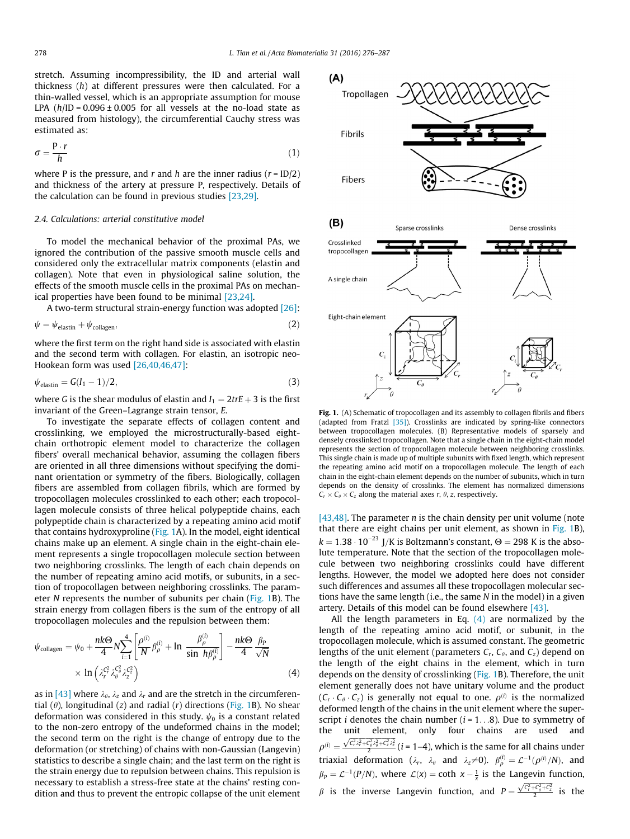<span id="page-2-0"></span>stretch. Assuming incompressibility, the ID and arterial wall thickness (h) at different pressures were then calculated. For a thin-walled vessel, which is an appropriate assumption for mouse LPA  $(h/ID = 0.096 \pm 0.005$  for all vessels at the no-load state as measured from histology), the circumferential Cauchy stress was estimated as:

$$
\sigma = \frac{P \cdot r}{h} \tag{1}
$$

where P is the pressure, and r and h are the inner radius  $(r = ID/2)$ and thickness of the artery at pressure P, respectively. Details of the calculation can be found in previous studies [\[23,29\].](#page-10-0)

# 2.4. Calculations: arterial constitutive model

To model the mechanical behavior of the proximal PAs, we ignored the contribution of the passive smooth muscle cells and considered only the extracellular matrix components (elastin and collagen). Note that even in physiological saline solution, the effects of the smooth muscle cells in the proximal PAs on mechanical properties have been found to be minimal [\[23,24\]](#page-10-0).

A two-term structural strain-energy function was adopted [\[26\]:](#page-10-0)

$$
\psi = \psi_{\text{elastin}} + \psi_{\text{collagen}},\tag{2}
$$

where the first term on the right hand side is associated with elastin and the second term with collagen. For elastin, an isotropic neo-Hookean form was used [\[26,40,46,47\]](#page-10-0):

$$
\psi_{\text{elastin}} = G(I_1 - 1)/2,\tag{3}
$$

where G is the shear modulus of elastin and  $I_1 = 2trE + 3$  is the first invariant of the Green–Lagrange strain tensor, E.

To investigate the separate effects of collagen content and crosslinking, we employed the microstructurally-based eightchain orthotropic element model to characterize the collagen fibers' overall mechanical behavior, assuming the collagen fibers are oriented in all three dimensions without specifying the dominant orientation or symmetry of the fibers. Biologically, collagen fibers are assembled from collagen fibrils, which are formed by tropocollagen molecules crosslinked to each other; each tropocollagen molecule consists of three helical polypeptide chains, each polypeptide chain is characterized by a repeating amino acid motif that contains hydroxyproline (Fig. 1A). In the model, eight identical chains make up an element. A single chain in the eight-chain element represents a single tropocollagen molecule section between two neighboring crosslinks. The length of each chain depends on the number of repeating amino acid motifs, or subunits, in a section of tropocollagen between neighboring crosslinks. The parameter N represents the number of subunits per chain (Fig. 1B). The strain energy from collagen fibers is the sum of the entropy of all tropocollagen molecules and the repulsion between them:

$$
\psi_{\text{collagen}} = \psi_0 + \frac{n k \Theta}{4} N \sum_{i=1}^4 \left[ \frac{\rho^{(i)}}{N} \beta_{\rho}^{(i)} + \ln \frac{\beta_{\rho}^{(i)}}{\sin h \beta_{\rho}^{(i)}} \right] - \frac{n k \Theta}{4} \frac{\beta_P}{\sqrt{N}}
$$

$$
\times \ln \left( \lambda_r^{c_r^2} \lambda_{\theta}^{c_{\theta}^2} \lambda_z^{c_2^2} \right) \tag{4}
$$

as in [\[43\]](#page-10-0) where  $\lambda_{\theta}$ ,  $\lambda_{z}$  and  $\lambda_{r}$  and are the stretch in the circumferential ( $\theta$ ), longitudinal (z) and radial (r) directions (Fig. 1B). No shear deformation was considered in this study.  $\psi_0$  is a constant related to the non-zero entropy of the undeformed chains in the model; the second term on the right is the change of entropy due to the deformation (or stretching) of chains with non-Gaussian (Langevin) statistics to describe a single chain; and the last term on the right is the strain energy due to repulsion between chains. This repulsion is necessary to establish a stress-free state at the chains' resting condition and thus to prevent the entropic collapse of the unit element



Fig. 1. (A) Schematic of tropocollagen and its assembly to collagen fibrils and fibers (adapted from Fratzl [\[35\]](#page-10-0)). Crosslinks are indicated by spring-like connectors between tropocollagen molecules. (B) Representative models of sparsely and densely crosslinked tropocollagen. Note that a single chain in the eight-chain model represents the section of tropocollagen molecule between neighboring crosslinks. This single chain is made up of multiple subunits with fixed length, which represent the repeating amino acid motif on a tropocollagen molecule. The length of each chain in the eight-chain element depends on the number of subunits, which in turn depends on the density of crosslinks. The element has normalized dimensions  $C_r \times C_\theta \times C_z$  along the material axes r,  $\theta$ , z, respectively.

[\[43,48\]](#page-10-0). The parameter  $n$  is the chain density per unit volume (note that there are eight chains per unit element, as shown in Fig. 1B),  $k = 1.38 \cdot 10^{-23}$  J/K is Boltzmann's constant,  $\Theta = 298$  K is the absolute temperature. Note that the section of the tropocollagen molecule between two neighboring crosslinks could have different lengths. However, the model we adopted here does not consider such differences and assumes all these tropocollagen molecular sections have the same length (i.e., the same N in the model) in a given artery. Details of this model can be found elsewhere [\[43\].](#page-10-0)

All the length parameters in Eq.  $(4)$  are normalized by the length of the repeating amino acid motif, or subunit, in the tropocollagen molecule, which is assumed constant. The geometric lengths of the unit element (parameters  $C_r$ ,  $C_\theta$ , and  $C_z$ ) depend on the length of the eight chains in the element, which in turn depends on the density of crosslinking (Fig. 1B). Therefore, the unit element generally does not have unitary volume and the product  $(C_r \cdot C_\theta \cdot C_z)$  is generally not equal to one.  $\rho^{(i)}$  is the normalized deformed length of the chains in the unit element where the superscript *i* denotes the chain number  $(i = 1...8)$ . Due to symmetry of the unit element, only four chains are used and  $\rho^{(i)}=\frac{\sqrt{\zeta_1^2\zeta_2^2+\zeta_0^2\zeta_0^2+\zeta_2^2\zeta_2^2}}{2}(i=1-4)$ , which is the same for all chains under triaxial deformation ( $\lambda_r$ ,  $\lambda_\theta$  and  $\lambda_z \neq 0$ ).  $\beta_\rho^{(i)} = \mathcal{L}^{-1}(\rho^{(i)}/N)$ , and  $\beta_P = \mathcal{L}^{-1}(P/N)$ , where  $\mathcal{L}(x) = \coth x - \frac{1}{x}$  is the Langevin function,  $\beta$  is the inverse Langevin function, and  $P = \frac{\sqrt{C_r^2 + C_\theta^2 + C_z^2}}{2}$  is the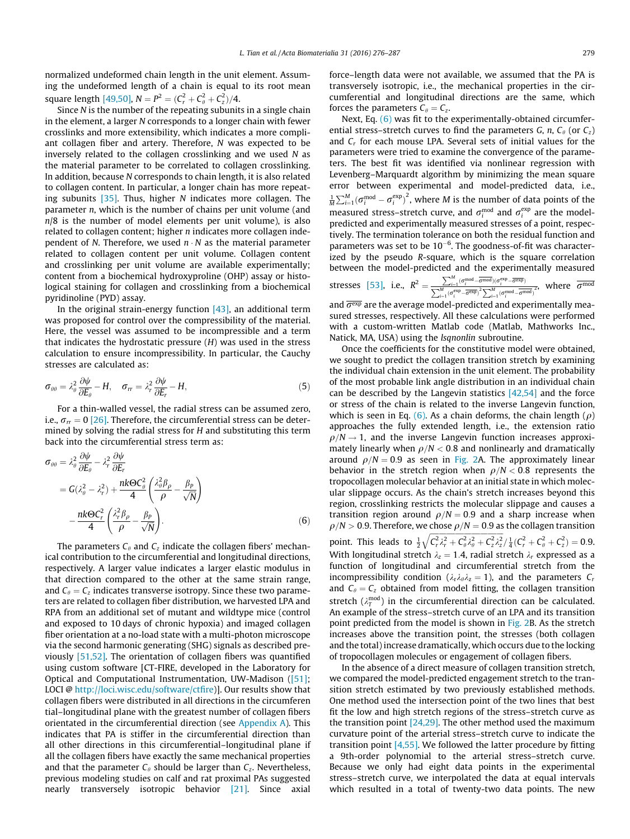<span id="page-3-0"></span>normalized undeformed chain length in the unit element. Assuming the undeformed length of a chain is equal to its root mean square length [\[49,50\],](#page-10-0)  $N = P^2 = (C_r^2 + C_\theta^2 + C_z^2)/4$ .

Since  $N$  is the number of the repeating subunits in a single chain in the element, a larger N corresponds to a longer chain with fewer crosslinks and more extensibility, which indicates a more compliant collagen fiber and artery. Therefore, N was expected to be inversely related to the collagen crosslinking and we used N as the material parameter to be correlated to collagen crosslinking. In addition, because N corresponds to chain length, it is also related to collagen content. In particular, a longer chain has more repeating subunits  $[35]$ . Thus, higher N indicates more collagen. The parameter n, which is the number of chains per unit volume (and  $n/8$  is the number of model elements per unit volume), is also related to collagen content; higher  $n$  indicates more collagen independent of N. Therefore, we used  $n \cdot N$  as the material parameter related to collagen content per unit volume. Collagen content and crosslinking per unit volume are available experimentally; content from a biochemical hydroxyproline (OHP) assay or histological staining for collagen and crosslinking from a biochemical pyridinoline (PYD) assay.

In the original strain-energy function  $[43]$ , an additional term was proposed for control over the compressibility of the material. Here, the vessel was assumed to be incompressible and a term that indicates the hydrostatic pressure  $(H)$  was used in the stress calculation to ensure incompressibility. In particular, the Cauchy stresses are calculated as:

$$
\sigma_{\theta\theta} = \lambda_{\theta}^2 \frac{\partial \psi}{\partial E_{\theta}} - H, \quad \sigma_{rr} = \lambda_{r}^2 \frac{\partial \psi}{\partial E_{r}} - H,
$$
\n(5)

For a thin-walled vessel, the radial stress can be assumed zero, i.e.,  $\sigma_r = 0$  [\[26\].](#page-10-0) Therefore, the circumferential stress can be determined by solving the radial stress for H and substituting this term back into the circumferential stress term as:

$$
\sigma_{\theta\theta} = \lambda_{\theta}^{2} \frac{\partial \psi}{\partial E_{\theta}} - \lambda_{r}^{2} \frac{\partial \psi}{\partial E_{r}}
$$
  
= 
$$
G(\lambda_{\theta}^{2} - \lambda_{r}^{2}) + \frac{n k \Theta C_{\theta}^{2}}{4} \left( \frac{\lambda_{\theta}^{2} \beta_{\rho}}{\rho} - \frac{\beta_{P}}{\sqrt{N}} \right)
$$
  

$$
- \frac{n k \Theta C_{r}^{2}}{4} \left( \frac{\lambda_{r}^{2} \beta_{\rho}}{\rho} - \frac{\beta_{P}}{\sqrt{N}} \right).
$$
 (6)

The parameters  $C_{\theta}$  and  $C_{z}$  indicate the collagen fibers' mechanical contribution to the circumferential and longitudinal directions, respectively. A larger value indicates a larger elastic modulus in that direction compared to the other at the same strain range, and  $C_\theta = C_z$  indicates transverse isotropy. Since these two parameters are related to collagen fiber distribution, we harvested LPA and RPA from an additional set of mutant and wildtype mice (control and exposed to 10 days of chronic hypoxia) and imaged collagen fiber orientation at a no-load state with a multi-photon microscope via the second harmonic generating (SHG) signals as described previously [\[51,52\].](#page-10-0) The orientation of collagen fibers was quantified using custom software [CT-FIRE, developed in the Laboratory for Optical and Computational Instrumentation, UW-Madison [\(\[51\];](#page-10-0) LOCI @ [http://loci.wisc.edu/software/ctfire\)](http://loci.wisc.edu/software/ctfire)]. Our results show that collagen fibers were distributed in all directions in the circumferen tial–longitudinal plane with the greatest number of collagen fibers orientated in the circumferential direction (see Appendix A). This indicates that PA is stiffer in the circumferential direction than all other directions in this circumferential–longitudinal plane if all the collagen fibers have exactly the same mechanical properties and that the parameter  $C_{\theta}$  should be larger than  $C_{z}$ . Nevertheless, previous modeling studies on calf and rat proximal PAs suggested nearly transversely isotropic behavior [\[21\].](#page-10-0) Since axial force–length data were not available, we assumed that the PA is transversely isotropic, i.e., the mechanical properties in the circumferential and longitudinal directions are the same, which forces the parameters  $C_{\theta} = C_{z}$ .

Next, Eq. (6) was fit to the experimentally-obtained circumferential stress–stretch curves to find the parameters G, n,  $C_{\theta}$  (or  $C_{z}$ ) and  $C_r$  for each mouse LPA. Several sets of initial values for the parameters were tried to examine the convergence of the parameters. The best fit was identified via nonlinear regression with Levenberg–Marquardt algorithm by minimizing the mean square error between experimental and model-predicted data, i.e.,  $\frac{1}{M}\sum_{i=1}^{M}(\sigma_i^{\text{mod}}-\sigma_i^{\text{exp}})^2$ , where M is the number of data points of the measured stress–stretch curve, and  $\sigma_i^{\text{mod}}$  and  $\sigma_i^{\text{exp}}$  are the modelpredicted and experimentally measured stresses of a point, respectively. The termination tolerance on both the residual function and parameters was set to be  $10^{-6}$ . The goodness-of-fit was characterized by the pseudo R-square, which is the square correlation between the model-predicted and the experimentally measured  $\sum_{i=1}^M$ 

stresses [53], i.e., 
$$
R^2 = \frac{\sum_{i=1}^{M} (\sigma_i^{\text{mod}} - \overline{\sigma}^{\text{mod}})(\sigma_i^{\text{exp}} - \overline{\sigma}^{\text{exp}})}{\sum_{i=1}^{M} (\sigma_i^{\text{exp}} - \overline{\sigma}^{\text{exp}})^2 \sum_{i=1}^{M} (\sigma_i^{\text{mod}} - \overline{\sigma}^{\text{mod}})^2}
$$
, where  $\overline{\sigma}^{\text{mod}}$ 

and  $\overline{\sigma^{exp}}$  are the average model-predicted and experimentally measured stresses, respectively. All these calculations were performed with a custom-written Matlab code (Matlab, Mathworks Inc., Natick, MA, USA) using the lsqnonlin subroutine.

Once the coefficients for the constitutive model were obtained, we sought to predict the collagen transition stretch by examining the individual chain extension in the unit element. The probability of the most probable link angle distribution in an individual chain can be described by the Langevin statistics  $[42,54]$  and the force or stress of the chain is related to the inverse Langevin function, which is seen in Eq. (6). As a chain deforms, the chain length  $(\rho)$ approaches the fully extended length, i.e., the extension ratio  $\rho/N \rightarrow 1$ , and the inverse Langevin function increases approximately linearly when  $\rho/N < 0.8$  and nonlinearly and dramatically around  $\rho/N = 0.9$  as seen in [Fig. 2](#page-4-0)A. The approximately linear behavior in the stretch region when  $\rho/N < 0.8$  represents the tropocollagen molecular behavior at an initial state in which molecular slippage occurs. As the chain's stretch increases beyond this region, crosslinking restricts the molecular slippage and causes a transition region around  $\rho/N = 0.9$  and a sharp increase when  $\rho/N > 0.9$ . Therefore, we chose  $\rho/N = 0.9$  as the collagen transition point. This leads to  $\frac{1}{2}\sqrt{C_r^2\lambda_r^2 + C_\theta^2\lambda_\theta^2 + C_z^2\lambda_z^2}/\frac{1}{4}(C_r^2 + C_\theta^2 + C_z^2) = 0.9$ . With longitudinal stretch  $\lambda_z = 1.4$ , radial stretch  $\lambda_r$  expressed as a function of longitudinal and circumferential stretch from the incompressibility condition ( $\lambda_r \lambda_\theta \lambda_z = 1$ ), and the parameters  $C_r$ and  $C_\theta = C_z$  obtained from model fitting, the collagen transition stretch ( $\lambda_T^{\text{mod}}$ ) in the circumferential direction can be calculated. An example of the stress–stretch curve of an LPA and its transition point predicted from the model is shown in [Fig. 2B](#page-4-0). As the stretch increases above the transition point, the stresses (both collagen and the total) increase dramatically, which occurs due to the locking of tropocollagen molecules or engagement of collagen fibers.

In the absence of a direct measure of collagen transition stretch, we compared the model-predicted engagement stretch to the transition stretch estimated by two previously established methods. One method used the intersection point of the two lines that best fit the low and high stretch regions of the stress–stretch curve as the transition point [\[24,29\]](#page-10-0). The other method used the maximum curvature point of the arterial stress–stretch curve to indicate the transition point [\[4,55\]](#page-9-0). We followed the latter procedure by fitting a 9th-order polynomial to the arterial stress–stretch curve. Because we only had eight data points in the experimental stress–stretch curve, we interpolated the data at equal intervals which resulted in a total of twenty-two data points. The new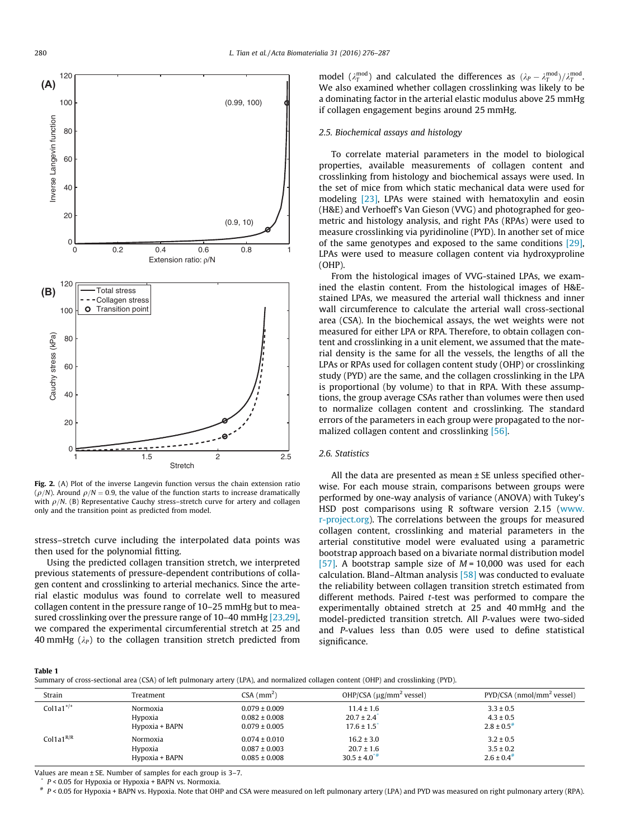<span id="page-4-0"></span>

Fig. 2. (A) Plot of the inverse Langevin function versus the chain extension ratio ( $\rho/N$ ). Around  $\rho/N = 0.9$ , the value of the function starts to increase dramatically with  $\rho/N$ . (B) Representative Cauchy stress–stretch curve for artery and collagen only and the transition point as predicted from model.

stress–stretch curve including the interpolated data points was then used for the polynomial fitting.

Using the predicted collagen transition stretch, we interpreted previous statements of pressure-dependent contributions of collagen content and crosslinking to arterial mechanics. Since the arterial elastic modulus was found to correlate well to measured collagen content in the pressure range of 10–25 mmHg but to measured crosslinking over the pressure range of 10–40 mmHg [\[23,29\],](#page-10-0) we compared the experimental circumferential stretch at 25 and 40 mmHg  $(\lambda_P)$  to the collagen transition stretch predicted from model ( $\lambda_T^{\text{mod}}$ ) and calculated the differences as  $(\lambda_P - \lambda_T^{\text{mod}})/\lambda_T^{\text{mod}}$ . We also examined whether collagen crosslinking was likely to be a dominating factor in the arterial elastic modulus above 25 mmHg if collagen engagement begins around 25 mmHg.

#### 2.5. Biochemical assays and histology

To correlate material parameters in the model to biological properties, available measurements of collagen content and crosslinking from histology and biochemical assays were used. In the set of mice from which static mechanical data were used for modeling [\[23\]](#page-10-0), LPAs were stained with hematoxylin and eosin (H&E) and Verhoeff's Van Gieson (VVG) and photographed for geometric and histology analysis, and right PAs (RPAs) were used to measure crosslinking via pyridinoline (PYD). In another set of mice of the same genotypes and exposed to the same conditions [\[29\],](#page-10-0) LPAs were used to measure collagen content via hydroxyproline (OHP).

From the histological images of VVG-stained LPAs, we examined the elastin content. From the histological images of H&Estained LPAs, we measured the arterial wall thickness and inner wall circumference to calculate the arterial wall cross-sectional area (CSA). In the biochemical assays, the wet weights were not measured for either LPA or RPA. Therefore, to obtain collagen content and crosslinking in a unit element, we assumed that the material density is the same for all the vessels, the lengths of all the LPAs or RPAs used for collagen content study (OHP) or crosslinking study (PYD) are the same, and the collagen crosslinking in the LPA is proportional (by volume) to that in RPA. With these assumptions, the group average CSAs rather than volumes were then used to normalize collagen content and crosslinking. The standard errors of the parameters in each group were propagated to the normalized collagen content and crosslinking [\[56\].](#page-10-0)

# 2.6. Statistics

All the data are presented as mean ± SE unless specified otherwise. For each mouse strain, comparisons between groups were performed by one-way analysis of variance (ANOVA) with Tukey's HSD post comparisons using R software version 2.15 ([www.](http://www.r-project.org) [r-project.org](http://www.r-project.org)). The correlations between the groups for measured collagen content, crosslinking and material parameters in the arterial constitutive model were evaluated using a parametric bootstrap approach based on a bivariate normal distribution model [\[57\]](#page-10-0). A bootstrap sample size of  $M = 10,000$  was used for each calculation. Bland–Altman analysis  $[58]$  was conducted to evaluate the reliability between collagen transition stretch estimated from different methods. Paired t-test was performed to compare the experimentally obtained stretch at 25 and 40 mmHg and the model-predicted transition stretch. All P-values were two-sided and P-values less than 0.05 were used to define statistical significance.

Table 1

Summary of cross-sectional area (CSA) of left pulmonary artery (LPA), and normalized collagen content (OHP) and crosslinking (PYD).

| Strain          | Treatment      | $CSA$ (mm <sup>2</sup> ) | OHP/CSA $(\mu g/mm^2$ vessel) | PYD/CSA (nmol/mm <sup>2</sup> vessel) |  |
|-----------------|----------------|--------------------------|-------------------------------|---------------------------------------|--|
| Colla $1^{+/+}$ | Normoxia       | $0.079 \pm 0.009$        | $11.4 \pm 1.6$                | $3.3 \pm 0.5$                         |  |
|                 | Hypoxia        | $0.082 \pm 0.008$        | $20.7 \pm 2.4$ <sup>*</sup>   | $4.3 \pm 0.5$                         |  |
| Colla $1^{R/R}$ | Hypoxia + BAPN | $0.079 \pm 0.005$        | $17.6 \pm 1.5$                | $2.8 \pm 0.5^*$                       |  |
|                 | Normoxia       | $0.074 \pm 0.010$        | $16.2 \pm 3.0$                | $3.2 \pm 0.5$                         |  |
|                 | Hypoxia        | $0.087 \pm 0.003$        | $20.7 \pm 1.6$                | $3.5 \pm 0.2$                         |  |
|                 | Hypoxia + BAPN | $0.085 \pm 0.008$        | $30.5 \pm 4.0^{*}$            | $2.6 \pm 0.4$ #                       |  |

Values are mean ± SE. Number of samples for each group is 3–7.

 $P < 0.05$  for Hypoxia or Hypoxia + BAPN vs. Normoxia.

# P < 0.05 for Hypoxia + BAPN vs. Hypoxia. Note that OHP and CSA were measured on left pulmonary artery (LPA) and PYD was measured on right pulmonary artery (RPA).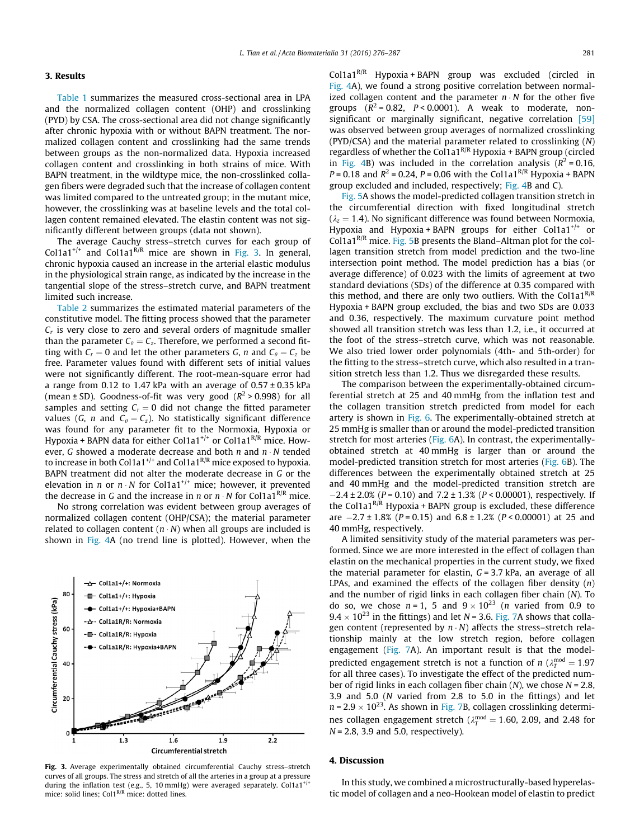# <span id="page-5-0"></span>3. Results

[Table 1](#page-4-0) summarizes the measured cross-sectional area in LPA and the normalized collagen content (OHP) and crosslinking (PYD) by CSA. The cross-sectional area did not change significantly after chronic hypoxia with or without BAPN treatment. The normalized collagen content and crosslinking had the same trends between groups as the non-normalized data. Hypoxia increased collagen content and crosslinking in both strains of mice. With BAPN treatment, in the wildtype mice, the non-crosslinked collagen fibers were degraded such that the increase of collagen content was limited compared to the untreated group; in the mutant mice, however, the crosslinking was at baseline levels and the total collagen content remained elevated. The elastin content was not significantly different between groups (data not shown).

The average Cauchy stress–stretch curves for each group of Col1a1<sup>+/+</sup> and Col1a1<sup>R/R</sup> mice are shown in Fig. 3. In general, chronic hypoxia caused an increase in the arterial elastic modulus in the physiological strain range, as indicated by the increase in the tangential slope of the stress–stretch curve, and BAPN treatment limited such increase.

[Table 2](#page-6-0) summarizes the estimated material parameters of the constitutive model. The fitting process showed that the parameter  $C<sub>r</sub>$  is very close to zero and several orders of magnitude smaller than the parameter  $C_{\theta} = C_{z}$ . Therefore, we performed a second fitting with  $C_r = 0$  and let the other parameters G, n and  $C_\theta = C_z$  be free. Parameter values found with different sets of initial values were not significantly different. The root-mean-square error had a range from 0.12 to 1.47 kPa with an average of  $0.57 \pm 0.35$  kPa (mean  $\pm$  SD). Goodness-of-fit was very good ( $R^2 > 0.998$ ) for all samples and setting  $C_r = 0$  did not change the fitted parameter values (G, n and  $C_\theta = C_z$ ). No statistically significant difference was found for any parameter fit to the Normoxia, Hypoxia or Hypoxia + BAPN data for either Col1a1<sup>+/+</sup> or Col1a1<sup>R/R</sup> mice. However, G showed a moderate decrease and both  $n$  and  $n \cdot N$  tended to increase in both Col1a1<sup>+/+</sup> and Col1a1<sup>R/R</sup> mice exposed to hypoxia. BAPN treatment did not alter the moderate decrease in G or the elevation in *n* or  $n \cdot N$  for Col1a1<sup>+/+</sup> mice; however, it prevented the decrease in G and the increase in n or  $n \cdot N$  for Col1a1<sup>R/R</sup> mice.

No strong correlation was evident between group averages of normalized collagen content (OHP/CSA); the material parameter related to collagen content  $(n \cdot N)$  when all groups are included is shown in [Fig. 4A](#page-6-0) (no trend line is plotted). However, when the



Fig. 3. Average experimentally obtained circumferential Cauchy stress–stretch curves of all groups. The stress and stretch of all the arteries in a group at a pressure during the inflation test (e.g., 5, 10 mmHg) were averaged separately. Col1a1<sup>+/+</sup> mice: solid lines; Col1<sup>R/R</sup> mice: dotted lines.

Col1a1 $^{R/R}$  Hypoxia + BAPN group was excluded (circled in [Fig. 4](#page-6-0)A), we found a strong positive correlation between normalized collagen content and the parameter  $n \cdot N$  for the other five groups  $(R^2 = 0.82, P < 0.0001)$ . A weak to moderate, non-significant or marginally significant, negative correlation [\[59\]](#page-10-0) was observed between group averages of normalized crosslinking (PYD/CSA) and the material parameter related to crosslinking (N) regardless of whether the Col1a1<sup>R/R</sup> Hypoxia + BAPN group (circled in [Fig. 4B](#page-6-0)) was included in the correlation analysis ( $R^2 = 0.16$ ,  $P = 0.18$  and  $R^2 = 0.24$ ,  $P = 0.06$  with the Col1a1<sup>R/R</sup> Hypoxia + BAPN group excluded and included, respectively; [Fig. 4](#page-6-0)B and C).

[Fig. 5A](#page-6-0) shows the model-predicted collagen transition stretch in the circumferential direction with fixed longitudinal stretch  $(\lambda_z = 1.4)$ . No significant difference was found between Normoxia, Hypoxia and Hypoxia + BAPN groups for either Col1a1<sup>+/+</sup> or Col1a1 $<sup>R/R</sup>$  mice. [Fig. 5B](#page-6-0) presents the Bland–Altman plot for the col-</sup> lagen transition stretch from model prediction and the two-line intersection point method. The model prediction has a bias (or average difference) of 0.023 with the limits of agreement at two standard deviations (SDs) of the difference at 0.35 compared with this method, and there are only two outliers. With the Col1a1<sup>R/R</sup> Hypoxia + BAPN group excluded, the bias and two SDs are 0.033 and 0.36, respectively. The maximum curvature point method showed all transition stretch was less than 1.2, i.e., it occurred at the foot of the stress–stretch curve, which was not reasonable. We also tried lower order polynomials (4th- and 5th-order) for the fitting to the stress–stretch curve, which also resulted in a transition stretch less than 1.2. Thus we disregarded these results.

The comparison between the experimentally-obtained circumferential stretch at 25 and 40 mmHg from the inflation test and the collagen transition stretch predicted from model for each artery is shown in [Fig. 6.](#page-7-0) The experimentally-obtained stretch at 25 mmHg is smaller than or around the model-predicted transition stretch for most arteries ([Fig. 6](#page-7-0)A). In contrast, the experimentallyobtained stretch at 40 mmHg is larger than or around the model-predicted transition stretch for most arteries [\(Fig. 6](#page-7-0)B). The differences between the experimentally obtained stretch at 25 and 40 mmHg and the model-predicted transition stretch are  $-2.4 \pm 2.0\%$  (P = 0.10) and 7.2  $\pm$  1.3% (P < 0.00001), respectively. If the Col1a1 $^{R/R}$  Hypoxia + BAPN group is excluded, these difference are  $-2.7 \pm 1.8\%$  (P = 0.15) and 6.8  $\pm$  1.2% (P < 0.00001) at 25 and 40 mmHg, respectively.

A limited sensitivity study of the material parameters was performed. Since we are more interested in the effect of collagen than elastin on the mechanical properties in the current study, we fixed the material parameter for elastin,  $G = 3.7$  kPa, an average of all LPAs, and examined the effects of the collagen fiber density  $(n)$ and the number of rigid links in each collagen fiber chain (N). To do so, we chose  $n = 1$ , 5 and  $9 \times 10^{23}$  (*n* varied from 0.9 to  $9.4 \times 10^{23}$  in the fittings) and let N = 3.6. [Fig. 7](#page-7-0)A shows that collagen content (represented by  $n \cdot N$ ) affects the stress–stretch relationship mainly at the low stretch region, before collagen engagement ([Fig. 7](#page-7-0)A). An important result is that the modelpredicted engagement stretch is not a function of  $n (\lambda_T^{\text{mod}} = 1.97)$ for all three cases). To investigate the effect of the predicted number of rigid links in each collagen fiber chain  $(N)$ , we chose  $N = 2.8$ , 3.9 and 5.0 (N varied from 2.8 to 5.0 in the fittings) and let  $n = 2.9 \times 10^{23}$ . As shown in [Fig. 7B](#page-7-0), collagen crosslinking determines collagen engagement stretch ( $\lambda_T^{\text{mod}} = 1.60$ , 2.09, and 2.48 for  $N = 2.8$ , 3.9 and 5.0, respectively).

# 4. Discussion

In this study, we combined a microstructurally-based hyperelastic model of collagen and a neo-Hookean model of elastin to predict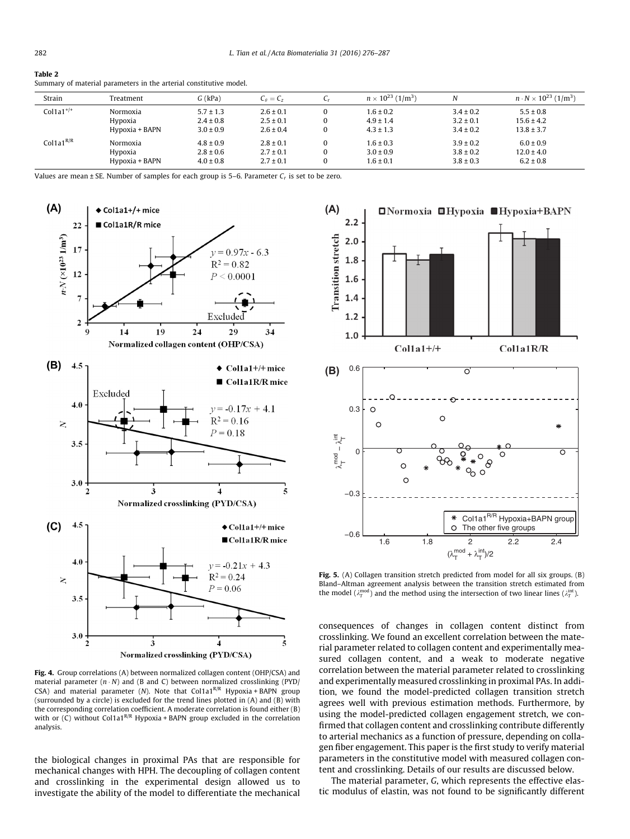<span id="page-6-0"></span>Table 2

| Strain          | Treatment      | $G$ (kPa)     | $C_{\theta} = C_{z}$ |          | $n \times 10^{23}$ (1/m <sup>3</sup> ) | N             | $n \cdot N \times 10^{23}$ (1/m <sup>3</sup> ) |
|-----------------|----------------|---------------|----------------------|----------|----------------------------------------|---------------|------------------------------------------------|
| $Col1a1^{+/+}$  | Normoxia       | $5.7 \pm 1.3$ | $2.6 \pm 0.1$        | $\Omega$ | $1.6 \pm 0.2$                          | $3.4 \pm 0.2$ | $5.5 \pm 0.8$                                  |
|                 | Hypoxia        | $2.4 \pm 0.8$ | $2.5 \pm 0.1$        | 0        | $4.9 \pm 1.4$                          | $3.2 \pm 0.1$ | $15.6 \pm 4.2$                                 |
|                 | Hypoxia + BAPN | $3.0 \pm 0.9$ | $2.6 \pm 0.4$        | $\Omega$ | $4.3 \pm 1.3$                          | $3.4 \pm 0.2$ | $13.8 \pm 3.7$                                 |
| Colla $1^{R/R}$ | Normoxia       | $4.8 \pm 0.9$ | $2.8 \pm 0.1$        | $\Omega$ | $1.6 \pm 0.3$                          | $3.9 \pm 0.2$ | $6.0 \pm 0.9$                                  |
|                 | Hypoxia        | $2.8 \pm 0.6$ | $2.7 \pm 0.1$        | $\Omega$ | $3.0 \pm 0.9$                          | $3.8 \pm 0.2$ | $12.0 \pm 4.0$                                 |
|                 | Hypoxia + BAPN | $4.0 \pm 0.8$ | $2.7 \pm 0.1$        | $\bf{0}$ | $1.6 \pm 0.1$                          | $3.8 \pm 0.3$ | $6.2 \pm 0.8$                                  |

Summary of material parameters in the arterial constitutive model.

Values are mean  $\pm$  SE. Number of samples for each group is 5–6. Parameter  $C_r$  is set to be zero.



Fig. 4. Group correlations (A) between normalized collagen content (OHP/CSA) and material parameter  $(n \cdot N)$  and  $(B \text{ and } C)$  between normalized crosslinking (PYD/ CSA) and material parameter (N). Note that  $Colla1^{R/R}$  Hypoxia + BAPN group (surrounded by a circle) is excluded for the trend lines plotted in (A) and (B) with the corresponding correlation coefficient. A moderate correlation is found either (B) with or  $(C)$  without Col1a1<sup>R/R</sup> Hypoxia + BAPN group excluded in the correlation analysis.

the biological changes in proximal PAs that are responsible for mechanical changes with HPH. The decoupling of collagen content and crosslinking in the experimental design allowed us to investigate the ability of the model to differentiate the mechanical



Fig. 5. (A) Collagen transition stretch predicted from model for all six groups. (B) Bland–Altman agreement analysis between the transition stretch estimated from the model ( $\lambda_T^{\text{mod}}$ ) and the method using the intersection of two linear lines ( $\lambda_T^{\text{int}}$ ).

consequences of changes in collagen content distinct from crosslinking. We found an excellent correlation between the material parameter related to collagen content and experimentally measured collagen content, and a weak to moderate negative correlation between the material parameter related to crosslinking and experimentally measured crosslinking in proximal PAs. In addition, we found the model-predicted collagen transition stretch agrees well with previous estimation methods. Furthermore, by using the model-predicted collagen engagement stretch, we confirmed that collagen content and crosslinking contribute differently to arterial mechanics as a function of pressure, depending on collagen fiber engagement. This paper is the first study to verify material parameters in the constitutive model with measured collagen content and crosslinking. Details of our results are discussed below.

The material parameter, G, which represents the effective elastic modulus of elastin, was not found to be significantly different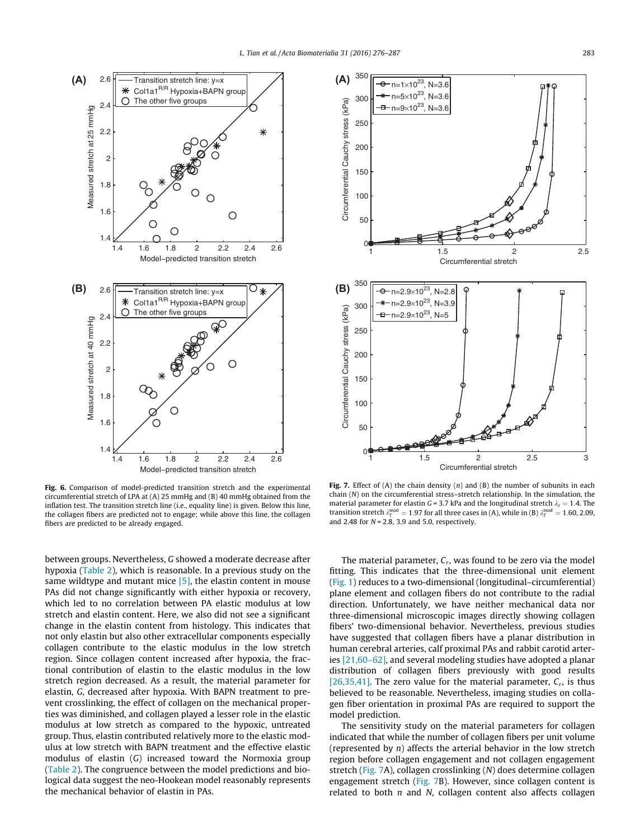<span id="page-7-0"></span>

Fig. 6. Comparison of model-predicted transition stretch and the experimental circumferential stretch of LPA at (A) 25 mmHg and (B) 40 mmHg obtained from the inflation test. The transition stretch line (i.e., equality line) is given. Below this line, the collagen fibers are predicted not to engage; while above this line, the collagen fibers are predicted to be already engaged.

between groups. Nevertheless, G showed a moderate decrease after hypoxia [\(Table 2](#page-6-0)), which is reasonable. In a previous study on the same wildtype and mutant mice  $[5]$ , the elastin content in mouse PAs did not change significantly with either hypoxia or recovery, which led to no correlation between PA elastic modulus at low stretch and elastin content. Here, we also did not see a significant change in the elastin content from histology. This indicates that not only elastin but also other extracellular components especially collagen contribute to the elastic modulus in the low stretch region. Since collagen content increased after hypoxia, the fractional contribution of elastin to the elastic modulus in the low stretch region decreased. As a result, the material parameter for elastin, G, decreased after hypoxia. With BAPN treatment to prevent crosslinking, the effect of collagen on the mechanical properties was diminished, and collagen played a lesser role in the elastic modulus at low stretch as compared to the hypoxic, untreated group. Thus, elastin contributed relatively more to the elastic modulus at low stretch with BAPN treatment and the effective elastic modulus of elastin (G) increased toward the Normoxia group ([Table 2\)](#page-6-0). The congruence between the model predictions and biological data suggest the neo-Hookean model reasonably represents the mechanical behavior of elastin in PAs.



Fig. 7. Effect of (A) the chain density  $(n)$  and  $(B)$  the number of subunits in each chain (N) on the circumferential stress–stretch relationship. In the simulation, the material parameter for elastin G = 3.7 kPa and the longitudinal stretch  $\lambda_z = 1.4$ . The transition stretch  $\lambda_T^{\text{mod}} = 1.97$  for all three cases in (A), while in (B)  $\lambda_T^{\text{mod}} = 1.60, 2.09$ and 2.48 for  $N = 2.8$ , 3.9 and 5.0, respectively.

The material parameter,  $C_r$ , was found to be zero via the model fitting. This indicates that the three-dimensional unit element [\(Fig. 1\)](#page-2-0) reduces to a two-dimensional (longitudinal–circumferential) plane element and collagen fibers do not contribute to the radial direction. Unfortunately, we have neither mechanical data nor three-dimensional microscopic images directly showing collagen fibers' two-dimensional behavior. Nevertheless, previous studies have suggested that collagen fibers have a planar distribution in human cerebral arteries, calf proximal PAs and rabbit carotid arteries [\[21,60–62\],](#page-10-0) and several modeling studies have adopted a planar distribution of collagen fibers previously with good results [\[26,35,41\].](#page-10-0) The zero value for the material parameter,  $C_r$ , is thus believed to be reasonable. Nevertheless, imaging studies on collagen fiber orientation in proximal PAs are required to support the model prediction.

The sensitivity study on the material parameters for collagen indicated that while the number of collagen fibers per unit volume (represented by  $n$ ) affects the arterial behavior in the low stretch region before collagen engagement and not collagen engagement stretch (Fig. 7A), collagen crosslinking (N) does determine collagen engagement stretch (Fig. 7B). However, since collagen content is related to both  $n$  and  $N$ , collagen content also affects collagen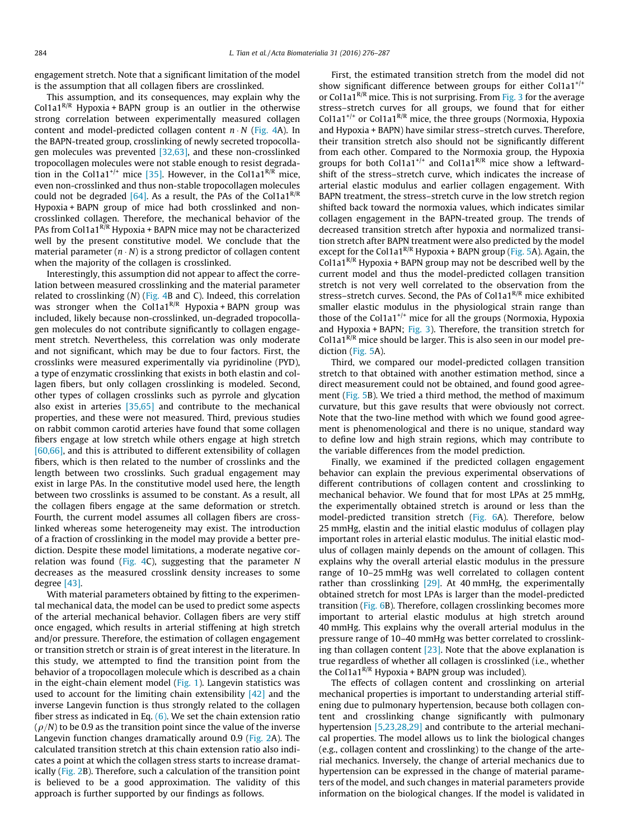engagement stretch. Note that a significant limitation of the model is the assumption that all collagen fibers are crosslinked.

This assumption, and its consequences, may explain why the Col1a1<sup>R/R</sup> Hypoxia + BAPN group is an outlier in the otherwise strong correlation between experimentally measured collagen content and model-predicted collagen content  $n \cdot N$  ([Fig. 4](#page-6-0)A). In the BAPN-treated group, crosslinking of newly secreted tropocollagen molecules was prevented  $[32,63]$ , and these non-crosslinked tropocollagen molecules were not stable enough to resist degrada-tion in the Col1a1<sup>+/+</sup> mice [\[35\]](#page-10-0). However, in the Col1a1<sup>R/R</sup> mice, even non-crosslinked and thus non-stable tropocollagen molecules could not be degraded [\[64\].](#page-11-0) As a result, the PAs of the Col1a1<sup>R/R</sup> Hypoxia + BAPN group of mice had both crosslinked and noncrosslinked collagen. Therefore, the mechanical behavior of the PAs from Col1a1 $<sup>R/R</sup>$  Hypoxia + BAPN mice may not be characterized</sup> well by the present constitutive model. We conclude that the material parameter  $(n \cdot N)$  is a strong predictor of collagen content when the majority of the collagen is crosslinked.

Interestingly, this assumption did not appear to affect the correlation between measured crosslinking and the material parameter related to crosslinking (N) ([Fig. 4](#page-6-0)B and C). Indeed, this correlation was stronger when the  $Collaa^{R/R}$  Hypoxia + BAPN group was included, likely because non-crosslinked, un-degraded tropocollagen molecules do not contribute significantly to collagen engagement stretch. Nevertheless, this correlation was only moderate and not significant, which may be due to four factors. First, the crosslinks were measured experimentally via pyridinoline (PYD), a type of enzymatic crosslinking that exists in both elastin and collagen fibers, but only collagen crosslinking is modeled. Second, other types of collagen crosslinks such as pyrrole and glycation also exist in arteries [\[35,65\]](#page-10-0) and contribute to the mechanical properties, and these were not measured. Third, previous studies on rabbit common carotid arteries have found that some collagen fibers engage at low stretch while others engage at high stretch [\[60,66\],](#page-11-0) and this is attributed to different extensibility of collagen fibers, which is then related to the number of crosslinks and the length between two crosslinks. Such gradual engagement may exist in large PAs. In the constitutive model used here, the length between two crosslinks is assumed to be constant. As a result, all the collagen fibers engage at the same deformation or stretch. Fourth, the current model assumes all collagen fibers are crosslinked whereas some heterogeneity may exist. The introduction of a fraction of crosslinking in the model may provide a better prediction. Despite these model limitations, a moderate negative cor-relation was found ([Fig. 4](#page-6-0)C), suggesting that the parameter  $N$ decreases as the measured crosslink density increases to some degree [\[43\]](#page-10-0).

With material parameters obtained by fitting to the experimental mechanical data, the model can be used to predict some aspects of the arterial mechanical behavior. Collagen fibers are very stiff once engaged, which results in arterial stiffening at high stretch and/or pressure. Therefore, the estimation of collagen engagement or transition stretch or strain is of great interest in the literature. In this study, we attempted to find the transition point from the behavior of a tropocollagen molecule which is described as a chain in the eight-chain element model [\(Fig. 1](#page-2-0)). Langevin statistics was used to account for the limiting chain extensibility [\[42\]](#page-10-0) and the inverse Langevin function is thus strongly related to the collagen fiber stress as indicated in Eq.  $(6)$ . We set the chain extension ratio  $(\rho/N)$  to be 0.9 as the transition point since the value of the inverse Langevin function changes dramatically around 0.9 ([Fig. 2A](#page-4-0)). The calculated transition stretch at this chain extension ratio also indicates a point at which the collagen stress starts to increase dramatically [\(Fig. 2](#page-4-0)B). Therefore, such a calculation of the transition point is believed to be a good approximation. The validity of this approach is further supported by our findings as follows.

First, the estimated transition stretch from the model did not show significant difference between groups for either Col1a1<sup>+/+</sup> or Col1a1 $R/R$  mice. This is not surprising. From [Fig. 3](#page-5-0) for the average stress–stretch curves for all groups, we found that for either Col1a1<sup>+/+</sup> or Col1a1<sup>R/R</sup> mice, the three groups (Normoxia, Hypoxia and Hypoxia + BAPN) have similar stress–stretch curves. Therefore, their transition stretch also should not be significantly different from each other. Compared to the Normoxia group, the Hypoxia groups for both Col1a1<sup>+/+</sup> and Col1a1<sup>R/R</sup> mice show a leftwardshift of the stress–stretch curve, which indicates the increase of arterial elastic modulus and earlier collagen engagement. With BAPN treatment, the stress–stretch curve in the low stretch region shifted back toward the normoxia values, which indicates similar collagen engagement in the BAPN-treated group. The trends of decreased transition stretch after hypoxia and normalized transition stretch after BAPN treatment were also predicted by the model except for the Col1a1<sup>R/R</sup> Hypoxia + BAPN group ([Fig. 5A](#page-6-0)). Again, the Col1a1<sup>R/R</sup> Hypoxia + BAPN group may not be described well by the current model and thus the model-predicted collagen transition stretch is not very well correlated to the observation from the stress–stretch curves. Second, the PAs of Col1a1 $<sup>R/R</sup>$  mice exhibited</sup> smaller elastic modulus in the physiological strain range than those of the Col1a1<sup>+/+</sup> mice for all the groups (Normoxia, Hypoxia and Hypoxia + BAPN; [Fig. 3](#page-5-0)). Therefore, the transition stretch for Col1a1 $\overline{R/R}$  mice should be larger. This is also seen in our model prediction ([Fig. 5](#page-6-0)A).

Third, we compared our model-predicted collagen transition stretch to that obtained with another estimation method, since a direct measurement could not be obtained, and found good agreement [\(Fig. 5](#page-6-0)B). We tried a third method, the method of maximum curvature, but this gave results that were obviously not correct. Note that the two-line method with which we found good agreement is phenomenological and there is no unique, standard way to define low and high strain regions, which may contribute to the variable differences from the model prediction.

Finally, we examined if the predicted collagen engagement behavior can explain the previous experimental observations of different contributions of collagen content and crosslinking to mechanical behavior. We found that for most LPAs at 25 mmHg, the experimentally obtained stretch is around or less than the model-predicted transition stretch [\(Fig. 6](#page-7-0)A). Therefore, below 25 mmHg, elastin and the initial elastic modulus of collagen play important roles in arterial elastic modulus. The initial elastic modulus of collagen mainly depends on the amount of collagen. This explains why the overall arterial elastic modulus in the pressure range of 10–25 mmHg was well correlated to collagen content rather than crosslinking  $[29]$ . At 40 mmHg, the experimentally obtained stretch for most LPAs is larger than the model-predicted transition ([Fig. 6B](#page-7-0)). Therefore, collagen crosslinking becomes more important to arterial elastic modulus at high stretch around 40 mmHg. This explains why the overall arterial modulus in the pressure range of 10–40 mmHg was better correlated to crosslinking than collagen content  $[23]$ . Note that the above explanation is true regardless of whether all collagen is crosslinked (i.e., whether the Col1a1<sup>R/R</sup> Hypoxia + BAPN group was included).

The effects of collagen content and crosslinking on arterial mechanical properties is important to understanding arterial stiffening due to pulmonary hypertension, because both collagen content and crosslinking change significantly with pulmonary hypertension [\[5,23,28,29\]](#page-10-0) and contribute to the arterial mechanical properties. The model allows us to link the biological changes (e.g., collagen content and crosslinking) to the change of the arterial mechanics. Inversely, the change of arterial mechanics due to hypertension can be expressed in the change of material parameters of the model, and such changes in material parameters provide information on the biological changes. If the model is validated in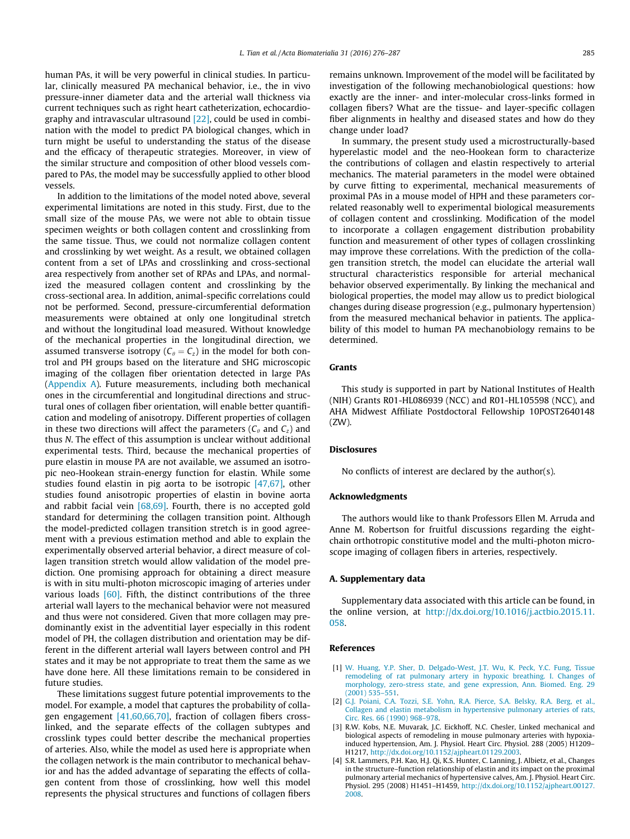<span id="page-9-0"></span>human PAs, it will be very powerful in clinical studies. In particular, clinically measured PA mechanical behavior, i.e., the in vivo pressure-inner diameter data and the arterial wall thickness via current techniques such as right heart catheterization, echocardiography and intravascular ultrasound [\[22\]](#page-10-0), could be used in combination with the model to predict PA biological changes, which in turn might be useful to understanding the status of the disease and the efficacy of therapeutic strategies. Moreover, in view of the similar structure and composition of other blood vessels compared to PAs, the model may be successfully applied to other blood vessels.

In addition to the limitations of the model noted above, several experimental limitations are noted in this study. First, due to the small size of the mouse PAs, we were not able to obtain tissue specimen weights or both collagen content and crosslinking from the same tissue. Thus, we could not normalize collagen content and crosslinking by wet weight. As a result, we obtained collagen content from a set of LPAs and crosslinking and cross-sectional area respectively from another set of RPAs and LPAs, and normalized the measured collagen content and crosslinking by the cross-sectional area. In addition, animal-specific correlations could not be performed. Second, pressure-circumferential deformation measurements were obtained at only one longitudinal stretch and without the longitudinal load measured. Without knowledge of the mechanical properties in the longitudinal direction, we assumed transverse isotropy ( $C_\theta = C_z$ ) in the model for both control and PH groups based on the literature and SHG microscopic imaging of the collagen fiber orientation detected in large PAs (Appendix A). Future measurements, including both mechanical ones in the circumferential and longitudinal directions and structural ones of collagen fiber orientation, will enable better quantification and modeling of anisotropy. Different properties of collagen in these two directions will affect the parameters ( $C_{\theta}$  and  $C_{z}$ ) and thus N. The effect of this assumption is unclear without additional experimental tests. Third, because the mechanical properties of pure elastin in mouse PA are not available, we assumed an isotropic neo-Hookean strain-energy function for elastin. While some studies found elastin in pig aorta to be isotropic [\[47,67\],](#page-10-0) other studies found anisotropic properties of elastin in bovine aorta and rabbit facial vein [\[68,69\]](#page-11-0). Fourth, there is no accepted gold standard for determining the collagen transition point. Although the model-predicted collagen transition stretch is in good agreement with a previous estimation method and able to explain the experimentally observed arterial behavior, a direct measure of collagen transition stretch would allow validation of the model prediction. One promising approach for obtaining a direct measure is with in situ multi-photon microscopic imaging of arteries under various loads  $[60]$ . Fifth, the distinct contributions of the three arterial wall layers to the mechanical behavior were not measured and thus were not considered. Given that more collagen may predominantly exist in the adventitial layer especially in this rodent model of PH, the collagen distribution and orientation may be different in the different arterial wall layers between control and PH states and it may be not appropriate to treat them the same as we have done here. All these limitations remain to be considered in future studies.

These limitations suggest future potential improvements to the model. For example, a model that captures the probability of collagen engagement [\[41,60,66,70\]](#page-10-0), fraction of collagen fibers crosslinked, and the separate effects of the collagen subtypes and crosslink types could better describe the mechanical properties of arteries. Also, while the model as used here is appropriate when the collagen network is the main contributor to mechanical behavior and has the added advantage of separating the effects of collagen content from those of crosslinking, how well this model represents the physical structures and functions of collagen fibers remains unknown. Improvement of the model will be facilitated by investigation of the following mechanobiological questions: how exactly are the inner- and inter-molecular cross-links formed in collagen fibers? What are the tissue- and layer-specific collagen fiber alignments in healthy and diseased states and how do they change under load?

In summary, the present study used a microstructurally-based hyperelastic model and the neo-Hookean form to characterize the contributions of collagen and elastin respectively to arterial mechanics. The material parameters in the model were obtained by curve fitting to experimental, mechanical measurements of proximal PAs in a mouse model of HPH and these parameters correlated reasonably well to experimental biological measurements of collagen content and crosslinking. Modification of the model to incorporate a collagen engagement distribution probability function and measurement of other types of collagen crosslinking may improve these correlations. With the prediction of the collagen transition stretch, the model can elucidate the arterial wall structural characteristics responsible for arterial mechanical behavior observed experimentally. By linking the mechanical and biological properties, the model may allow us to predict biological changes during disease progression (e.g., pulmonary hypertension) from the measured mechanical behavior in patients. The applicability of this model to human PA mechanobiology remains to be determined.

# Grants

This study is supported in part by National Institutes of Health (NIH) Grants R01-HL086939 (NCC) and R01-HL105598 (NCC), and AHA Midwest Affiliate Postdoctoral Fellowship 10POST2640148 (ZW).

#### **Disclosures**

No conflicts of interest are declared by the author(s).

#### Acknowledgments

The authors would like to thank Professors Ellen M. Arruda and Anne M. Robertson for fruitful discussions regarding the eightchain orthotropic constitutive model and the multi-photon microscope imaging of collagen fibers in arteries, respectively.

# A. Supplementary data

Supplementary data associated with this article can be found, in the online version, at [http://dx.doi.org/10.1016/j.actbio.2015.11.](http://dx.doi.org/10.1016/j.actbio.2015.11.058) [058.](http://dx.doi.org/10.1016/j.actbio.2015.11.058)

## References

- [1] [W. Huang, Y.P. Sher, D. Delgado-West, J.T. Wu, K. Peck, Y.C. Fung, Tissue](http://refhub.elsevier.com/S1742-7061(15)30235-X/h0005) [remodeling of rat pulmonary artery in hypoxic breathing. I. Changes of](http://refhub.elsevier.com/S1742-7061(15)30235-X/h0005) [morphology, zero-stress state, and gene expression, Ann. Biomed. Eng. 29](http://refhub.elsevier.com/S1742-7061(15)30235-X/h0005) [\(2001\) 535–551](http://refhub.elsevier.com/S1742-7061(15)30235-X/h0005).
- [2] [G.J. Poiani, C.A. Tozzi, S.E. Yohn, R.A. Pierce, S.A. Belsky, R.A. Berg, et al.,](http://refhub.elsevier.com/S1742-7061(15)30235-X/h0010) [Collagen and elastin metabolism in hypertensive pulmonary arteries of rats,](http://refhub.elsevier.com/S1742-7061(15)30235-X/h0010) [Circ. Res. 66 \(1990\) 968–978.](http://refhub.elsevier.com/S1742-7061(15)30235-X/h0010)
- [3] R.W. Kobs, N.E. Muvarak, J.C. Eickhoff, N.C. Chesler, Linked mechanical and biological aspects of remodeling in mouse pulmonary arteries with hypoxiainduced hypertension, Am. J. Physiol. Heart Circ. Physiol. 288 (2005) H1209– H1217, [http://dx.doi.org/10.1152/ajpheart.01129.2003.](http://dx.doi.org/10.1152/ajpheart.01129.2003)
- [4] S.R. Lammers, P.H. Kao, H.J. Qi, K.S. Hunter, C. Lanning, J. Albietz, et al., Changes in the structure–function relationship of elastin and its impact on the proximal pulmonary arterial mechanics of hypertensive calves, Am. J. Physiol. Heart Circ. Physiol. 295 (2008) H1451–H1459, [http://dx.doi.org/10.1152/ajpheart.00127.](http://dx.doi.org/10.1152/ajpheart.00127.2008) [2008.](http://dx.doi.org/10.1152/ajpheart.00127.2008)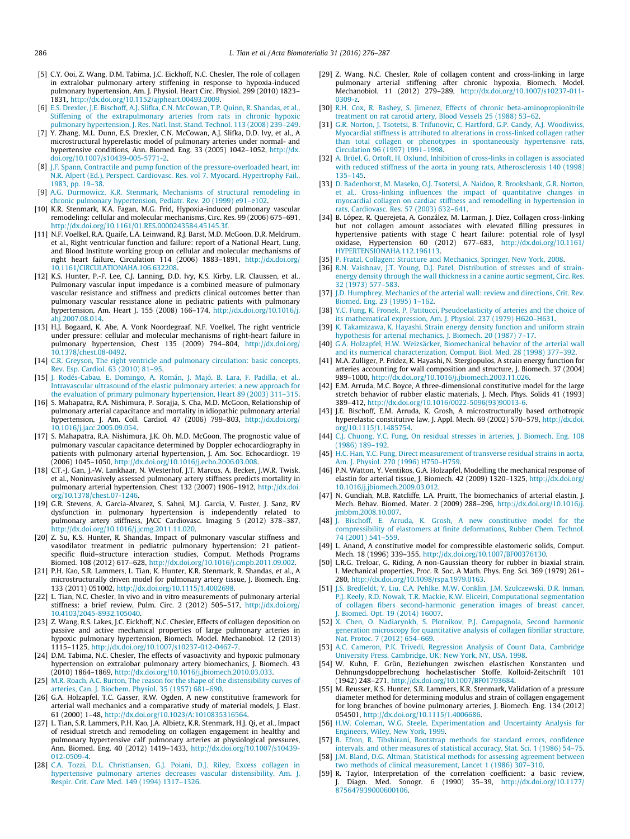- <span id="page-10-0"></span>[5] C.Y. Ooi, Z. Wang, D.M. Tabima, J.C. Eickhoff, N.C. Chesler, The role of collagen in extralobar pulmonary artery stiffening in response to hypoxia-induced pulmonary hypertension, Am. J. Physiol. Heart Circ. Physiol. 299 (2010) 1823– 1831, [http://dx.doi.org/10.1152/ajpheart.00493.2009.](http://dx.doi.org/10.1152/ajpheart.00493.2009)
- [6] [E.S. Drexler, J.E. Bischoff, A.J. Slifka, C.N. McCowan, T.P. Quinn, R. Shandas, et al.,](http://refhub.elsevier.com/S1742-7061(15)30235-X/h0030) [Stiffening of the extrapulmonary arteries from rats in chronic hypoxic](http://refhub.elsevier.com/S1742-7061(15)30235-X/h0030) [pulmonary hypertension, J. Res. Natl. Inst. Stand. Technol. 113 \(2008\) 239–249](http://refhub.elsevier.com/S1742-7061(15)30235-X/h0030).
- [7] Y. Zhang, M.L. Dunn, E.S. Drexler, C.N. McCowan, A.J. Slifka, D.D. Ivy, et al., A microstructural hyperelastic model of pulmonary arteries under normal- and hypertensive conditions, Ann. Biomed. Eng. 33 (2005) 1042-1052, [http://dx.](http://dx.doi.org/10.1007/s10439-005-5771-2) [doi.org/10.1007/s10439-005-5771-2.](http://dx.doi.org/10.1007/s10439-005-5771-2)
- [8] [J.F. Spann, Contractile and pump function of the pressure-overloaded heart, in:](http://refhub.elsevier.com/S1742-7061(15)30235-X/h0040) [N.R. Alpert \(Ed.\), Perspect. Cardiovasc. Res. vol 7. Myocard. Hypertrophy Fail.,](http://refhub.elsevier.com/S1742-7061(15)30235-X/h0040) [1983, pp. 19–38](http://refhub.elsevier.com/S1742-7061(15)30235-X/h0040).
- [9] [A.G. Durmowicz, K.R. Stenmark, Mechanisms of structural remodeling in](http://refhub.elsevier.com/S1742-7061(15)30235-X/h0045) [chronic pulmonary hypertension, Pediatr. Rev. 20 \(1999\) e91–e102.](http://refhub.elsevier.com/S1742-7061(15)30235-X/h0045)
- [10] K.R. Stenmark, K.A. Fagan, M.G. Frid, Hypoxia-induced pulmonary vascular remodeling: cellular and molecular mechanisms, Circ. Res. 99 (2006) 675–691, [http://dx.doi.org/10.1161/01.RES.0000243584.45145.3f.](http://dx.doi.org/10.1161/01.RES.0000243584.45145.3f)
- [11] N.F. Voelkel, R.A. Quaife, L.A. Leinwand, R.J. Barst, M.D. McGoon, D.R. Meldrum, et al., Right ventricular function and failure: report of a National Heart, Lung, and Blood Institute working group on cellular and molecular mechanisms of right heart failure, Circulation 114 (2006) 1883–1891, [http://dx.doi.org/](http://dx.doi.org/10.1161/CIRCULATIONAHA.106.632208) [10.1161/CIRCULATIONAHA.106.632208](http://dx.doi.org/10.1161/CIRCULATIONAHA.106.632208).
- [12] K.S. Hunter, P.-F. Lee, C.J. Lanning, D.D. Ivy, K.S. Kirby, L.R. Claussen, et al., Pulmonary vascular input impedance is a combined measure of pulmonary vascular resistance and stiffness and predicts clinical outcomes better than pulmonary vascular resistance alone in pediatric patients with pulmonary hypertension, Am. Heart J. 155 (2008) 166–174, [http://dx.doi.org/10.1016/j.](http://dx.doi.org/10.1016/j.ahj.2007.08.014) ahi.2007.08.014
- [13] H.J. Bogaard, K. Abe, A. Vonk Noordegraaf, N.F. Voelkel, The right ventricle under pressure: cellular and molecular mechanisms of right-heart failure in pulmonary hypertension, Chest 135 (2009) 794–804, [http://dx.doi.org/](http://dx.doi.org/10.1378/chest.08-0492) [10.1378/chest.08-0492.](http://dx.doi.org/10.1378/chest.08-0492)
- [14] [C.R. Greyson, The right ventricle and pulmonary circulation: basic concepts,](http://refhub.elsevier.com/S1742-7061(15)30235-X/h0070) [Rev. Esp. Cardiol. 63 \(2010\) 81–95](http://refhub.elsevier.com/S1742-7061(15)30235-X/h0070).
- [15] [J. Rodés-Cabau, E. Domingo, A. Román, J. Majó, B. Lara, F. Padilla, et al.,](http://refhub.elsevier.com/S1742-7061(15)30235-X/h0075) [Intravascular ultrasound of the elastic pulmonary arteries: a new approach for](http://refhub.elsevier.com/S1742-7061(15)30235-X/h0075) [the evaluation of primary pulmonary hypertension, Heart 89 \(2003\) 311–315](http://refhub.elsevier.com/S1742-7061(15)30235-X/h0075).
- [16] S. Mahapatra, R.A. Nishimura, P. Sorajja, S. Cha, M.D. McGoon, Relationship of pulmonary arterial capacitance and mortality in idiopathic pulmonary arterial hypertension, J. Am. Coll. Cardiol. 47 (2006) 799–803, [http://dx.doi.org/](http://dx.doi.org/10.1016/j.jacc.2005.09.054) [10.1016/j.jacc.2005.09.054.](http://dx.doi.org/10.1016/j.jacc.2005.09.054)
- [17] S. Mahapatra, R.A. Nishimura, J.K. Oh, M.D. McGoon, The prognostic value of pulmonary vascular capacitance determined by Doppler echocardiography in patients with pulmonary arterial hypertension, J. Am. Soc. Echocardiogr. 19 (2006) 1045–1050, <http://dx.doi.org/10.1016/j.echo.2006.03.008>.
- [18] C.T.-J. Gan, J.-W. Lankhaar, N. Westerhof, J.T. Marcus, A. Becker, J.W.R. Twisk, et al., Noninvasively assessed pulmonary artery stiffness predicts mortality in pulmonary arterial hypertension, Chest 132 (2007) 1906–1912, [http://dx.doi.](http://dx.doi.org/10.1378/chest.07-1246) [org/10.1378/chest.07-1246](http://dx.doi.org/10.1378/chest.07-1246).
- [19] G.R. Stevens, A. Garcia-Alvarez, S. Sahni, M.J. Garcia, V. Fuster, J. Sanz, RV dysfunction in pulmonary hypertension is independently related to pulmonary artery stiffness, JACC Cardiovasc. Imaging 5 (2012) 378–387, <http://dx.doi.org/10.1016/j.jcmg.2011.11.020>.
- [20] Z. Su, K.S. Hunter, R. Shandas, Impact of pulmonary vascular stiffness and vasodilator treatment in pediatric pulmonary hypertension: 21 patientspecific fluid–structure interaction studies, Comput. Methods Programs Biomed. 108 (2012) 617–628, [http://dx.doi.org/10.1016/j.cmpb.2011.09.002.](http://dx.doi.org/10.1016/j.cmpb.2011.09.002)
- [21] P.H. Kao, S.R. Lammers, L. Tian, K. Hunter, K.R. Stenmark, R. Shandas, et al., A microstructurally driven model for pulmonary artery tissue, J. Biomech. Eng. 133 (2011) 051002, <http://dx.doi.org/10.1115/1.4002698>. [22] L. Tian, N.C. Chesler, In vivo and in vitro measurements of pulmonary arterial
- stiffness: a brief review, Pulm. Circ. 2 (2012) 505–517, [http://dx.doi.org/](http://dx.doi.org/10.4103/2045-8932.105040) [10.4103/2045-8932.105040](http://dx.doi.org/10.4103/2045-8932.105040).
- [23] Z. Wang, R.S. Lakes, J.C. Eickhoff, N.C. Chesler, Effects of collagen deposition on passive and active mechanical properties of large pulmonary arteries in hypoxic pulmonary hypertension, Biomech. Model. Mechanobiol. 12 (2013) 1115–1125, <http://dx.doi.org/10.1007/s10237-012-0467-7>.
- [24] D.M. Tabima, N.C. Chesler, The effects of vasoactivity and hypoxic pulmonary hypertension on extralobar pulmonary artery biomechanics, J. Biomech. 43 (2010) 1864–1869, <http://dx.doi.org/10.1016/j.jbiomech.2010.03.033>.
- [25] [M.R. Roach, A.C. Burton, The reason for the shape of the distensibility curves of](http://refhub.elsevier.com/S1742-7061(15)30235-X/h0125) [arteries, Can. J. Biochem. Physiol. 35 \(1957\) 681–690.](http://refhub.elsevier.com/S1742-7061(15)30235-X/h0125)
- [26] G.A. Holzapfel, T.C. Gasser, R.W. Ogden, A new constitutive framework for arterial wall mechanics and a comparative study of material models, J. Elast. 61 (2000) 1–48, [http://dx.doi.org/10.1023/A:1010835316564.](http://dx.doi.org/10.1023/A:1010835316564)
- [27] L. Tian, S.R. Lammers, P.H. Kao, J.A. Albietz, K.R. Stenmark, H.J. Qi, et al., Impact of residual stretch and remodeling on collagen engagement in healthy and pulmonary hypertensive calf pulmonary arteries at physiological pressures, Ann. Biomed. Eng. 40 (2012) 1419–1433, [http://dx.doi.org/10.1007/s10439-](http://dx.doi.org/10.1007/s10439-012-0509-4) [012-0509-4.](http://dx.doi.org/10.1007/s10439-012-0509-4)
- [28] [C.A. Tozzi, D.L. Christiansen, G.J. Poiani, D.J. Riley, Excess collagen in](http://refhub.elsevier.com/S1742-7061(15)30235-X/h0140) [hypertensive pulmonary arteries decreases vascular distensibility, Am. J.](http://refhub.elsevier.com/S1742-7061(15)30235-X/h0140) [Respir. Crit. Care Med. 149 \(1994\) 1317–1326](http://refhub.elsevier.com/S1742-7061(15)30235-X/h0140).
- [29] Z. Wang, N.C. Chesler, Role of collagen content and cross-linking in large pulmonary arterial stiffening after chronic hypoxia, Biomech. Model. Mechanobiol. 11 (2012) 279–289, [http://dx.doi.org/10.1007/s10237-011-](http://dx.doi.org/10.1007/s10237-011-0309-z) [0309-z](http://dx.doi.org/10.1007/s10237-011-0309-z).
- [30] [R.H. Cox, R. Bashey, S. Jimenez, Effects of chronic beta-aminopropionitrile](http://refhub.elsevier.com/S1742-7061(15)30235-X/h0150) [treatment on rat carotid artery, Blood Vessels 25 \(1988\) 53–62.](http://refhub.elsevier.com/S1742-7061(15)30235-X/h0150)
- [31] [G.R. Norton, J. Tsotetsi, B. Trifunovic, C. Hartford, G.P. Candy, A.J. Woodiwiss,](http://refhub.elsevier.com/S1742-7061(15)30235-X/h0155) [Myocardial stiffness is attributed to alterations in cross-linked collagen rather](http://refhub.elsevier.com/S1742-7061(15)30235-X/h0155) [than total collagen or phenotypes in spontaneously hypertensive rats,](http://refhub.elsevier.com/S1742-7061(15)30235-X/h0155) Circulation 96 (1997) 1991-1998.
- [32] [A. Brüel, G. Ortoft, H. Oxlund, Inhibition of cross-links in collagen is associated](http://refhub.elsevier.com/S1742-7061(15)30235-X/h0160) [with reduced stiffness of the aorta in young rats, Atherosclerosis 140 \(1998\)](http://refhub.elsevier.com/S1742-7061(15)30235-X/h0160) [135–145](http://refhub.elsevier.com/S1742-7061(15)30235-X/h0160).
- [33] [D. Badenhorst, M. Maseko, O.J. Tsotetsi, A. Naidoo, R. Brooksbank, G.R. Norton,](http://refhub.elsevier.com/S1742-7061(15)30235-X/h0165) [et al., Cross-linking influences the impact of quantitative changes in](http://refhub.elsevier.com/S1742-7061(15)30235-X/h0165) [myocardial collagen on cardiac stiffness and remodelling in hypertension in](http://refhub.elsevier.com/S1742-7061(15)30235-X/h0165) [rats, Cardiovasc. Res. 57 \(2003\) 632–641](http://refhub.elsevier.com/S1742-7061(15)30235-X/h0165).
- [34] B. López, R. Querejeta, A. González, M. Larman, J. Díez, Collagen cross-linking but not collagen amount associates with elevated filling pressures in hypertensive patients with stage C heart failure: potential role of lysyl oxidase, Hypertension 60 (2012) 677–683, [http://dx.doi.org/10.1161/](http://dx.doi.org/10.1161/HYPERTENSIONAHA.112.196113) [HYPERTENSIONAHA.112.196113.](http://dx.doi.org/10.1161/HYPERTENSIONAHA.112.196113)
- [35] [P. Fratzl, Collagen: Structure and Mechanics, Springer, New York, 2008.](http://refhub.elsevier.com/S1742-7061(15)30235-X/h0175)
- [36] [R.N. Vaishnav, J.T. Young, D.J. Patel, Distribution of stresses and of strain](http://refhub.elsevier.com/S1742-7061(15)30235-X/h0180)[energy density through the wall thickness in a canine aortic segment, Circ. Res.](http://refhub.elsevier.com/S1742-7061(15)30235-X/h0180) [32 \(1973\) 577–583.](http://refhub.elsevier.com/S1742-7061(15)30235-X/h0180)
- [37] [J.D. Humphrey, Mechanics of the arterial wall: review and directions, Crit. Rev.](http://refhub.elsevier.com/S1742-7061(15)30235-X/h0185) [Biomed. Eng. 23 \(1995\) 1–162.](http://refhub.elsevier.com/S1742-7061(15)30235-X/h0185)
- [38] [Y.C. Fung, K. Fronek, P. Patitucci, Pseudoelasticity of arteries and the choice of](http://refhub.elsevier.com/S1742-7061(15)30235-X/h0190) [its mathematical expression, Am. J. Physiol. 237 \(1979\) H620–H631](http://refhub.elsevier.com/S1742-7061(15)30235-X/h0190).
- [39] [K. Takamizawa, K. Hayashi, Strain energy density function and uniform strain](http://refhub.elsevier.com/S1742-7061(15)30235-X/h0195) hypothesis for arterial mechanics, J. Biomech. 20 (1987) 7-17.
- [40] [G.A. Holzapfel, H.W. Weizsäcker, Biomechanical behavior of the arterial wall](http://refhub.elsevier.com/S1742-7061(15)30235-X/h0200) [and its numerical characterization, Comput. Biol. Med. 28 \(1998\) 377–392](http://refhub.elsevier.com/S1742-7061(15)30235-X/h0200).
- [41] M.A. Zulliger, P. Fridez, K. Hayashi, N. Stergiopulos, A strain energy function for arteries accounting for wall composition and structure, J. Biomech. 37 (2004) 989–1000, <http://dx.doi.org/10.1016/j.jbiomech.2003.11.026>.
- [42] E.M. Arruda, M.C. Boyce, A three-dimensional constitutive model for the large stretch behavior of rubber elastic materials, J. Mech. Phys. Solids 41 (1993) 389–412, [http://dx.doi.org/10.1016/0022-5096\(93\)90013-6](http://dx.doi.org/10.1016/0022-5096(93)90013-6).
- [43] J.E. Bischoff, E.M. Arruda, K. Grosh, A microstructurally based orthotropic hyperelastic constitutive law, J. Appl. Mech. 69 (2002) 570–579, [http://dx.doi.](http://dx.doi.org/10.1115/1.1485754) [org/10.1115/1.1485754](http://dx.doi.org/10.1115/1.1485754).
- [44] [C.J. Chuong, Y.C. Fung, On residual stresses in arteries, J. Biomech. Eng. 108](http://refhub.elsevier.com/S1742-7061(15)30235-X/h0220) [\(1986\) 189–192](http://refhub.elsevier.com/S1742-7061(15)30235-X/h0220).
- [45] [H.C. Han, Y.C. Fung, Direct measurement of transverse residual strains in aorta,](http://refhub.elsevier.com/S1742-7061(15)30235-X/h0225) [Am. J. Physiol. 270 \(1996\) H750–H759.](http://refhub.elsevier.com/S1742-7061(15)30235-X/h0225)
- [46] P.N. Watton, Y. Ventikos, G.A. Holzapfel, Modelling the mechanical response of elastin for arterial tissue, J. Biomech. 42 (2009) 1320–1325, [http://dx.doi.org/](http://dx.doi.org/10.1016/j.jbiomech.2009.03.012) [10.1016/j.jbiomech.2009.03.012](http://dx.doi.org/10.1016/j.jbiomech.2009.03.012).
- [47] N. Gundiah, M.B. Ratcliffe, L.A. Pruitt, The biomechanics of arterial elastin, J. Mech. Behav. Biomed. Mater. 2 (2009) 288–296, [http://dx.doi.org/10.1016/j.](http://dx.doi.org/10.1016/j.jmbbm.2008.10.007) [jmbbm.2008.10.007.](http://dx.doi.org/10.1016/j.jmbbm.2008.10.007)
- [48] [J. Bischoff, E. Arruda, K. Grosh, A new constitutive model for the](http://refhub.elsevier.com/S1742-7061(15)30235-X/h0240) [compressibility of elastomers at finite deformations, Rubber Chem. Technol.](http://refhub.elsevier.com/S1742-7061(15)30235-X/h0240) [74 \(2001\) 541–559.](http://refhub.elsevier.com/S1742-7061(15)30235-X/h0240)
- [49] L. Anand, A constitutive model for compressible elastomeric solids, Comput. Mech. 18 (1996) 339–355, <http://dx.doi.org/10.1007/BF00376130>.
- [50] L.R.G. Treloar, G. Riding, A non-Gaussian theory for rubber in biaxial strain. I. Mechanical properties, Proc. R. Soc. A Math. Phys. Eng. Sci. 369 (1979) 261– 280, <http://dx.doi.org/10.1098/rspa.1979.0163>.
- [51] [J.S. Bredfeldt, Y. Liu, C.A. Pehlke, M.W. Conklin, J.M. Szulczewski, D.R. Inman,](http://refhub.elsevier.com/S1742-7061(15)30235-X/h0099) [P.J. Keely, R.D. Nowak, T.R. Mackie, K.W. Eliceiri, Computational segmentation](http://refhub.elsevier.com/S1742-7061(15)30235-X/h0099) [of collagen fibers second-harmonic generation images of breast cancer,](http://refhub.elsevier.com/S1742-7061(15)30235-X/h0099) [J. Biomed. Opt. 19 \(2014\) 16007](http://refhub.elsevier.com/S1742-7061(15)30235-X/h0099).
- [52] [X. Chen, O. Nadiarynkh, S. Plotnikov, P.J. Campagnola, Second harmonic](http://refhub.elsevier.com/S1742-7061(15)30235-X/h7654) [generation microscopy for quantitative analysis of collagen fibrillar structure,](http://refhub.elsevier.com/S1742-7061(15)30235-X/h7654) [Nat. Protoc. 7 \(2012\) 654–669](http://refhub.elsevier.com/S1742-7061(15)30235-X/h7654).
- [53] [A.C. Cameron, P.K. Trivedi, Regression Analysis of Count Data, Cambridge](http://refhub.elsevier.com/S1742-7061(15)30235-X/h0255) [University Press, Cambridge, UK; New York, NY, USA, 1998.](http://refhub.elsevier.com/S1742-7061(15)30235-X/h0255)
- [54] W. Kuhn, F. Grün, Beziehungen zwischen elastischen Konstanten und Dehnungsdoppelbrechung hochelastischer Stoffe, Kolloid-Zeitschrift 101 (1942) 248–271, <http://dx.doi.org/10.1007/BF01793684>.
- [55] M. Reusser, K.S. Hunter, S.R. Lammers, K.R. Stenmark, Validation of a pressure diameter method for determining modulus and strain of collagen engagement for long branches of bovine pulmonary arteries, J. Biomech. Eng. 134 (2012) 054501, <http://dx.doi.org/10.1115/1.4006686>.
- [56] [H.W. Coleman, W.G. Steele, Experimentation and Uncertainty Analysis for](http://refhub.elsevier.com/S1742-7061(15)30235-X/h0270) [Engineers, Wiley, New York, 1999.](http://refhub.elsevier.com/S1742-7061(15)30235-X/h0270)
- [57] [B. Efron, R. Tibshirani, Bootstrap methods for standard errors, confidence](http://refhub.elsevier.com/S1742-7061(15)30235-X/h0275) [intervals, and other measures of statistical accuracy, Stat. Sci. 1 \(1986\) 54–75](http://refhub.elsevier.com/S1742-7061(15)30235-X/h0275).
- [58] [J.M. Bland, D.G. Altman, Statistical methods for assessing agreement between](http://refhub.elsevier.com/S1742-7061(15)30235-X/h0280) [two methods of clinical measurement, Lancet 1 \(1986\) 307–310](http://refhub.elsevier.com/S1742-7061(15)30235-X/h0280).
- [59] R. Taylor, Interpretation of the correlation coefficient: a basic review, J. Diagn. Med. Sonogr. 6 (1990) 35–39, [http://dx.doi.org/10.1177/](http://dx.doi.org/10.1177/875647939000600106) [875647939000600106.](http://dx.doi.org/10.1177/875647939000600106)